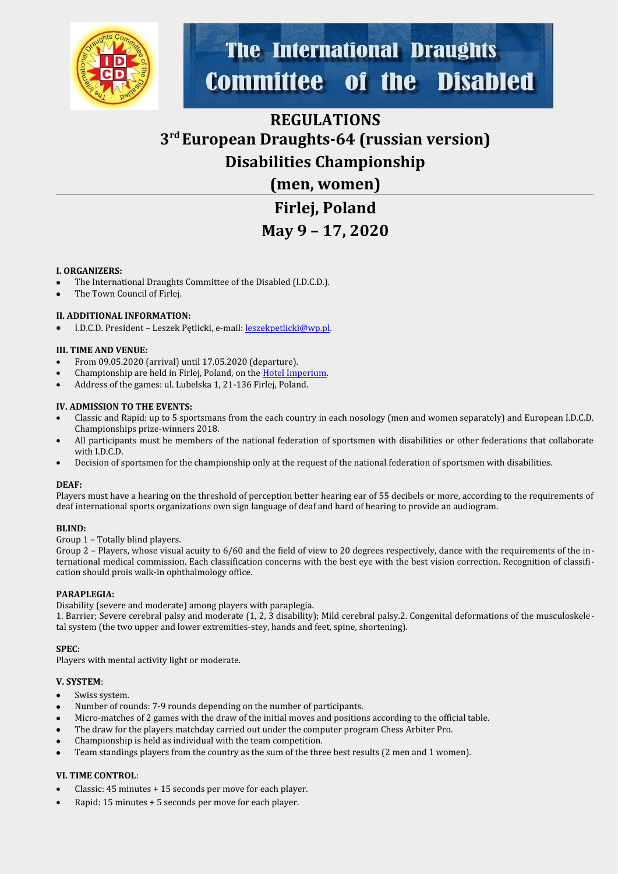

# **The International Draughts** of the Disabled **Committee**

## **REGULATIONS 3 rd European Draughts-64 (russian version) Disabilities Championship**

**(men, women)**

**Firlej, Poland May 9 – 17, 2020**

#### **I. ORGANIZERS:**

- The International Draughts Committee of the Disabled (I.D.C.D.).
- The Town Council of Firlej.

#### **II. ADDITIONAL INFORMATION:**

I.D.C.D. President – Leszek Pętlicki, e-mail: [leszekpetlicki@wp.pl](mailto:leszekpetlicki@wp.pl).

#### **III. TIME AND VENUE:**

- From 09.05.2020 (arrival) until 17.05.2020 (departure).
- Championship are held in Firlej, Poland, on the [Hotel Imperium.](http://restauracjaimperium.pl/galeria_imperium_hotel_restauracja/#_fotografie)
- Address of the games: ul. Lubelska 1, 21-136 Firlej, Poland.

#### **IV. ADMISSION TO THE EVENTS:**

- Classic and Rapid: up to 5 sportsmans from the each country in each nosology (men and women separately) and European I.D.C.D. Championships prize-winners 2018.
- All participants must be members of the national federation of sportsmen with disabilities or other federations that collaborate with I.D.C.D.
- Decision of sportsmen for the championship only at the request of the national federation of sportsmen with disabilities.

#### **DEAF:**

Players must have a hearing on the threshold of perception better hearing ear of 55 decibels or more, according to the requirements of deaf international sports organizations own sign language of deaf and hard of hearing to provide an audiogram.

#### **BLIND:**

Group 1 – Totally blind players.

Group 2 – Players, whose visual acuity to 6/60 and the field of view to 20 degrees respectively, dance with the requirements of the international medical commission. Each classification concerns with the best eye with the best vision correction. Recognition of classification should prois walk-in ophthalmology office.

#### **PARAPLEGIA:**

Disability (severe and moderate) among players with paraplegia.

1. Barrier; Severe cerebral palsy and moderate (1, 2, 3 disability); Mild cerebral palsy.2. Congenital deformations of the musculoskeletal system (the two upper and lower extremities-stey, hands and feet, spine, shortening).

#### **SPEC:**

Players with mental activity light or moderate.

#### **V. SYSTEM**:

- Swiss system.
- Number of rounds: 7-9 rounds depending on the number of participants.
- Micro-matches of 2 games with the draw of the initial moves and positions according to the official table.
- The draw for the players matchday carried out under the computer program Chess Arbiter Pro.
- Championship is held as individual with the team competition.
- Team standings players from the country as the sum of the three best results (2 men and 1 women).

#### **VI. TIME CONTROL**:

- Classic: 45 minutes + 15 seconds per move for each player.
- Rapid: 15 minutes + 5 seconds per move for each player.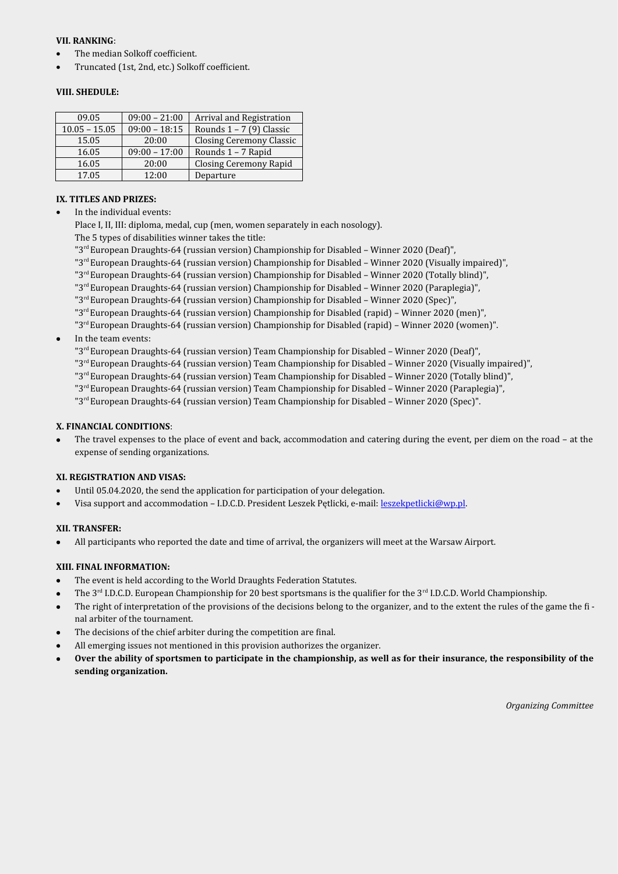#### **VII. RANKING**:

- The median Solkoff coefficient.
- Truncated (1st, 2nd, etc.) Solkoff coefficient.

#### **VIII. SHEDULE:**

| 09.05           | $09:00 - 21:00$ | <b>Arrival and Registration</b> |
|-----------------|-----------------|---------------------------------|
| $10.05 - 15.05$ | $09:00 - 18:15$ | Rounds $1 - 7$ (9) Classic      |
| 15.05           | 20:00           | <b>Closing Ceremony Classic</b> |
| 16.05           | $09:00 - 17:00$ | Rounds 1 - 7 Rapid              |
| 16.05           | 20:00           | <b>Closing Ceremony Rapid</b>   |
| 17.05           | 12:00           | Departure                       |

#### **IX. TITLES AND PRIZES:**

In the individual events:

Place I, II, III: diploma, medal, cup (men, women separately in each nosology).

The 5 types of disabilities winner takes the title:

"3rd European Draughts-64 (russian version) Championship for Disabled – Winner 2020 (Deaf)",

- "3rd European Draughts-64 (russian version) Championship for Disabled Winner 2020 (Visually impaired)",
- "3rd European Draughts-64 (russian version) Championship for Disabled Winner 2020 (Totally blind)",
- "3rd European Draughts-64 (russian version) Championship for Disabled Winner 2020 (Paraplegia)",
- "3rd European Draughts-64 (russian version) Championship for Disabled Winner 2020 (Spec)",
- "3rd European Draughts-64 (russian version) Championship for Disabled (rapid) Winner 2020 (men)",
- "3<sup>rd</sup> European Draughts-64 (russian version) Championship for Disabled (rapid) Winner 2020 (women)".
- In the team events:

"3rd European Draughts-64 (russian version) Team Championship for Disabled – Winner 2020 (Deaf)",

- "3rd European Draughts-64 (russian version) Team Championship for Disabled Winner 2020 (Visually impaired)",
- "3rd European Draughts-64 (russian version) Team Championship for Disabled Winner 2020 (Totally blind)",
- "3rd European Draughts-64 (russian version) Team Championship for Disabled Winner 2020 (Paraplegia)",
- "3<sup>rd</sup> European Draughts-64 (russian version) Team Championship for Disabled Winner 2020 (Spec)".

#### **X. FINANCIAL CONDITIONS**:

 The travel expenses to the place of event and back, accommodation and catering during the event, per diem on the road – at the expense of sending organizations.

#### **XI. REGISTRATION AND VISAS:**

- Until 05.04.2020, the send the application for participation of your delegation.
- Visa support and accommodation I.D.C.D. President Leszek Pętlicki, e-mail: [leszekpetlicki@wp.pl](mailto:leszekpetlicki@wp.pl).

#### **XII. TRANSFER:**

All participants who reported the date and time of arrival, the organizers will meet at the Warsaw Airport.

#### **XIII. FINAL INFORMATION:**

- The event is held according to the World Draughts Federation Statutes.
- The  $3<sup>rd</sup>$  I.D.C.D. European Championship for 20 best sportsmans is the qualifier for the  $3<sup>rd</sup>$  I.D.C.D. World Championship.
- The right of interpretation of the provisions of the decisions belong to the organizer, and to the extent the rules of the game the fi nal arbiter of the tournament.
- The decisions of the chief arbiter during the competition are final.
- All emerging issues not mentioned in this provision authorizes the organizer.
- **Over the ability of sportsmen to participate in the championship, as well as for their insurance, the responsibility of the sending organization.**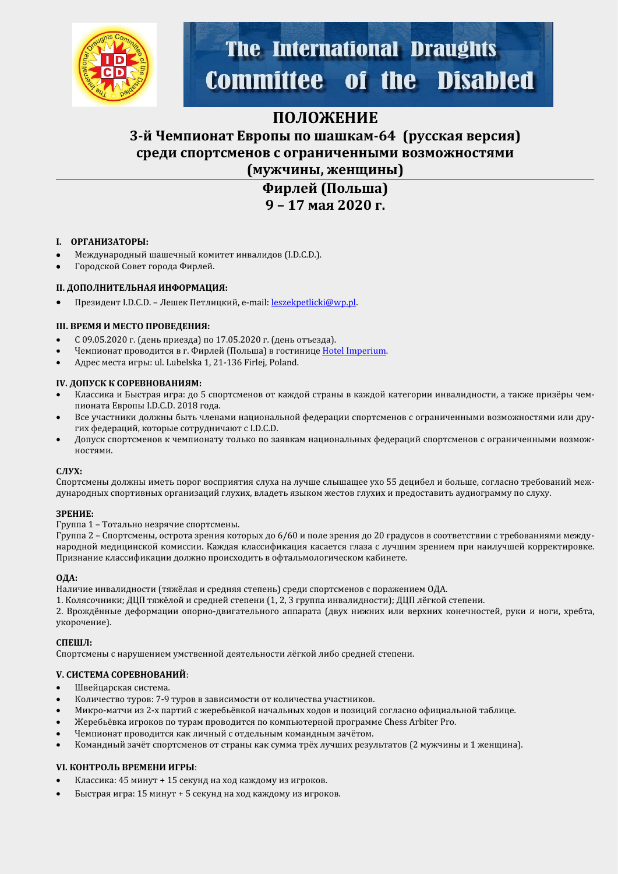

# **The International Draughts Committee of the Disabled**

### **ПОЛОЖЕНИЕ**

### **3-й Чемпионат Европы по шашкам-64 (русская версия) среди спортсменов с ограниченными возможностями (мужчины, женщины)**

**Фирлей (Польша) 9 – 17 мая 2020 г.**

#### **I. ОРГАНИЗАТОРЫ:**

- Международный шашечный комитет инвалидов (I.D.C.D.).
- Городской Совет города Фирлей.

#### **II. ДОПОЛНИТЕЛЬНАЯ ИНФОРМАЦИЯ:**

Президент I.D.C.D. - Лешек Петлицкий, e-mail: [leszekpetlicki@wp.pl](mailto:leszekpetlicki@wp.pl).

#### **III. ВРЕМЯ И МЕСТО ПРОВЕДЕНИЯ:**

- С 09.05.2020 г. (день прйезда) по 17.05.2020 г. (день отъезда).
- Чемпионат проводится в г. Фирлей (Польша) в гостинице [Hotel](http://restauracjaimperium.pl/galeria_imperium_hotel_restauracja/#_fotografie) Imperium.
- Адрес места йгры: ul. Lubelska 1, 21-136 Firlej, Poland.

#### **IV. ДОПУСК К СОРЕВНОВАНИЯМ:**

- Классика и Быстрая игра: до 5 спортсменов от каждой страны в каждой категории инвалидности, а также призёры чемпйоната Европы I.D.C.D. 2018 года.
- Все участники должны быть членами национальной федерации спортсменов с ограниченными возможностями или других федераций, которые сотрудничают с I.D.C.D.
- Допуск спортсменов к чемпионату только по заявкам национальных федераций спортсменов с ограниченными возможностямй.

#### **СЛУХ:**

Спортсмены должны иметь порог восприятия слуха на лучше слышащее ухо 55 децибел и больше, согласно требований международных спортивных организаций глухих, владеть языком жестов глухих и предоставить аудиограмму по слуху.

#### **ЗРЕНИЕ:**

#### Группа 1 – Тотально незрячйе спортсмены.

Группа 2 – Спортсмены, острота зрения которых до 6/60 и поле зрения до 20 градусов в соответствии с требованиями международной медицинской комиссии. Каждая классификация касается глаза с лучшим зрением при наилучшей корректировке. Признание классификации должно происходить в офтальмологическом кабинете.

#### **ОДА:**

Наличие инвалидности (тяжёлая и средняя степень) среди спортсменов с поражением ОДА.

1. Колясочники; ДЦП тяжёлой и средней степени (1, 2, 3 группа инвалидности); ДЦП лёгкой степени.

2. Врождённые деформации опорно-двигательного аппарата (двух нижних или верхних конечностей, руки и ноги, хребта, укорочение).

#### **СПЕШЛ:**

Спортсмены с нарушением умственной деятельности лёгкой либо средней степени.

#### **V. СИСТЕМА СОРЕВНОВАНИЙ**:

- Швейцарская система.
- Количество туров: 7-9 туров в зависимости от количества участников.
- Микро-матчи из 2-х партий с жеребьёвкой начальных ходов и позиций согласно официальной таблице.
- Жеребьёвка игроков по турам проводится по компьютерной программе Chess Arbiter Pro.
- Чемпионат проводится как личный с отдельным командным зачётом.
- Командный зачёт спортсменов от страны как сумма трёх лучших результатов (2 мужчины и 1 женщина).

#### **VI. КОНТРОЛЬ ВРЕМЕНИ ИГРЫ**:

- Классика: 45 минут + 15 секунд на ход каждому из игроков.
- Быстрая игра: 15 минут + 5 секунд на ход каждому из игроков.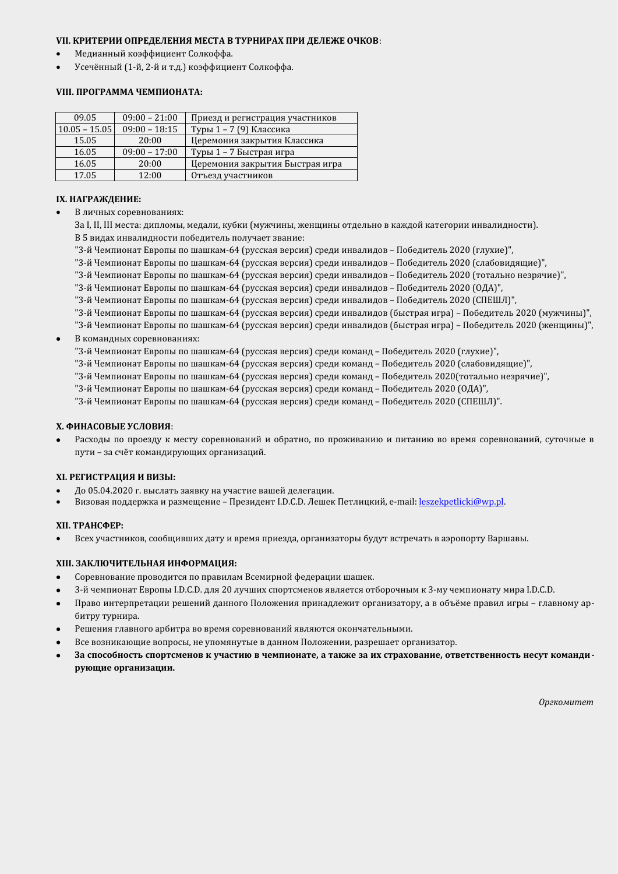#### **VII. КРИТЕРИИ ОПРЕДЕЛЕНИЯ МЕСТА В ТУРНИРАХ ПРИ ДЕЛЕЖЕ ОЧКОВ**:

- Медианный коэффициент Солкоффа.
- Усечённый (1-й, 2-й и т.д.) коэффициент Солкоффа.

#### **VIII. ПРОГРАММА ЧЕМПИОНАТА:**

| 09.05           | $09:00 - 21:00$ | Приезд и регистрация участников |
|-----------------|-----------------|---------------------------------|
| $10.05 - 15.05$ | $09:00 - 18:15$ | Туры 1 - 7 (9) Классика         |
| 15.05           | 20:00           | Церемония закрытия Классика     |
| 16.05           | $09:00 - 17:00$ | Туры 1 – 7 Быстрая игра         |
| 16.05           | 20:00           | Церемония закрытия Быстрая игра |
| 17.05           | 12:00           | Отъезд участников               |

#### **IX. НАГРАЖДЕНИЕ:**

В личных соревнованиях:

За I, II, III места: дипломы, медали, кубки (мужчины, женщины отдельно в каждой категории инвалидности). В 5 видах инвалидности победитель получает звание:

- "3-й Чемпионат Европы по шашкам-64 (русская версия) среди инвалидов Победитель 2020 (глухие)",
- "3-й Чемпионат Европы по шашкам-64 (русская версия) среди инвалидов Победитель 2020 (слабовидящие)",
- "3-й Чемпионат Европы по шашкам-64 (русская версия) среди инвалидов Победитель 2020 (тотально незрячие)",
- "3-й Чемпионат Европы по шашкам-64 (русская версия) среди инвалидов Победитель 2020 (ОДА)",
- "3-й Чемпионат Европы по шашкам-64 (русская версия) среди инвалидов Победитель 2020 (СПЕШЛ)",
- "3-й Чемпионат Европы по шашкам-64 (русская версия) среди инвалидов (быстрая игра) Победитель 2020 (мужчины)",
- "3-й Чемпионат Европы по шашкам-64 (русская версия) среди инвалидов (быстрая игра) Победитель 2020 (женщины)",
- В командных соревнованиях:
	- "3-й Чемпионат Европы по шашкам-64 (русская версия) среди команд Победитель 2020 (глухие)",
	- "3-й Чемпионат Европы по шашкам-64 (русская версия) среди команд Победитель 2020 (слабовидящие)",
	- "3-й Чемпионат Европы по шашкам-64 (русская версия) среди команд Победитель 2020(тотально незрячие)",
	- "3-й Чемпионат Европы по шашкам-64 (русская версия) среди команд Победитель 2020 (ОДА)",
	- "3-й Чемпионат Европы по шашкам-64 (русская версия) среди команд Победитель 2020 (СПЕШЛ)".

#### **X. ФИНАСОВЫЕ УСЛОВИЯ**:

Расходы по проезду к месту соревнований и обратно, по проживанию и питанию во время соревнований, суточные в пути - за счёт командирующих организаций.

#### **XI. РЕГИСТРАЦИЯ И ВИЗЫ:**

- До 05.04.2020 г. выслать заявку на участие вашей делегации.
- Визовая поддержка и размещение Президент I.D.C.D. Лешек Петлицкий, e-mail: [leszekpetlicki@wp.pl](mailto:leszekpetlicki@wp.pl).

#### **XII. ТРАНСФЕР:**

Всех участников, сообщивших дату и время приезда, организаторы будут встречать в аэропорту Варшавы.

#### **XIII. ЗАКЛЮЧИТЕЛЬНАЯ ИНФОРМАЦИЯ:**

- Соревнование проводится по правилам Всемирной федерации шашек.
- 3-й чемпионат Европы I.D.C.D. для 20 лучших спортсменов является отборочным к 3-му чемпионату мира I.D.C.D.
- Право интерпретации решений данного Положения принадлежит организатору, а в объёме правил игры главному арбитру турнира.
- Решения главного арбитра во время соревнований являются окончательными.
- Все возникающие вопросы, не упомянутые в данном Положении, разрешает организатор.
- **За способность спортсменов к участию в чемпионате, а также за их страхование, ответственность несут командирующие организации.**

*Оргкомитет*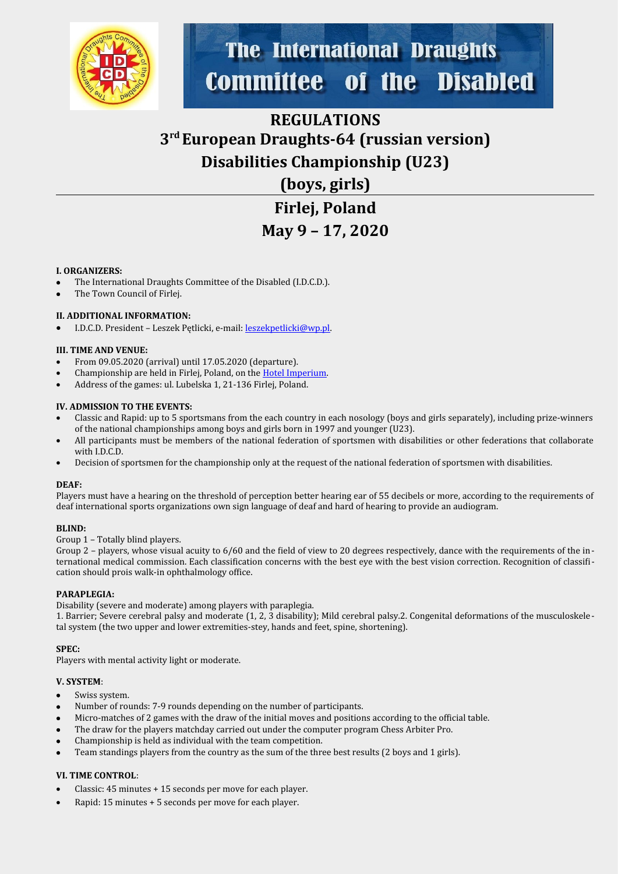

# **The International Draughts** of the Disabled **Committee**

# **REGULATIONS 3 rd European Draughts-64 (russian version) Disabilities Championship (U23)**

**(boys, girls)**

**Firlej, Poland May 9 – 17, 2020**

#### **I. ORGANIZERS:**

- The International Draughts Committee of the Disabled (I.D.C.D.).
- The Town Council of Firlej.

#### **II. ADDITIONAL INFORMATION:**

I.D.C.D. President – Leszek Pętlicki, e-mail: [leszekpetlicki@wp.pl](mailto:leszekpetlicki@wp.pl).

#### **III. TIME AND VENUE:**

- From 09.05.2020 (arrival) until 17.05.2020 (departure).
- Championship are held in Firlej, Poland, on the [Hotel Imperium.](http://restauracjaimperium.pl/galeria_imperium_hotel_restauracja/#_fotografie)
- Address of the games: ul. Lubelska 1, 21-136 Firlej, Poland.

#### **IV. ADMISSION TO THE EVENTS:**

- Classic and Rapid: up to 5 sportsmans from the each country in each nosology (boys and girls separately), including prize-winners of the national championships among boys and girls born in 1997 and younger (U23).
- All participants must be members of the national federation of sportsmen with disabilities or other federations that collaborate with I.D.C.D.
- Decision of sportsmen for the championship only at the request of the national federation of sportsmen with disabilities.

#### **DEAF:**

Players must have a hearing on the threshold of perception better hearing ear of 55 decibels or more, according to the requirements of deaf international sports organizations own sign language of deaf and hard of hearing to provide an audiogram.

#### **BLIND:**

Group 1 – Totally blind players.

Group 2 – players, whose visual acuity to 6/60 and the field of view to 20 degrees respectively, dance with the requirements of the international medical commission. Each classification concerns with the best eye with the best vision correction. Recognition of classification should prois walk-in ophthalmology office.

#### **PARAPLEGIA:**

Disability (severe and moderate) among players with paraplegia.

1. Barrier; Severe cerebral palsy and moderate (1, 2, 3 disability); Mild cerebral palsy.2. Congenital deformations of the musculoskeletal system (the two upper and lower extremities-stey, hands and feet, spine, shortening).

#### **SPEC:**

Players with mental activity light or moderate.

#### **V. SYSTEM**:

- Swiss system.
- Number of rounds: 7-9 rounds depending on the number of participants.
- Micro-matches of 2 games with the draw of the initial moves and positions according to the official table.
- The draw for the players matchday carried out under the computer program Chess Arbiter Pro.
- Championship is held as individual with the team competition.
- Team standings players from the country as the sum of the three best results (2 boys and 1 girls).

#### **VI. TIME CONTROL**:

- Classic: 45 minutes + 15 seconds per move for each player.
- Rapid: 15 minutes + 5 seconds per move for each player.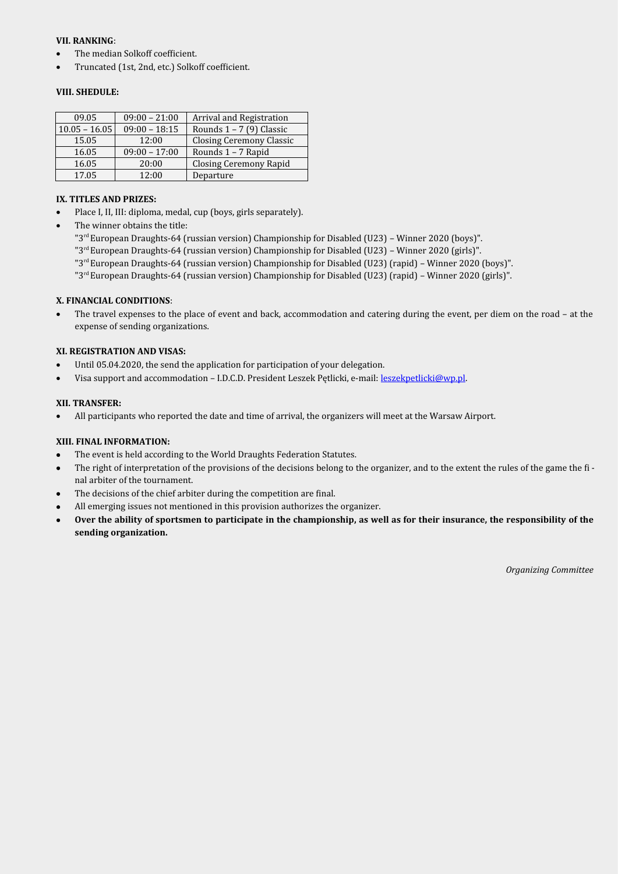#### **VII. RANKING**:

- The median Solkoff coefficient.
- Truncated (1st, 2nd, etc.) Solkoff coefficient.

#### **VIII. SHEDULE:**

| 09.05           | $09:00 - 21:00$ | Arrival and Registration      |
|-----------------|-----------------|-------------------------------|
| $10.05 - 16.05$ | $09:00 - 18:15$ | Rounds $1 - 7$ (9) Classic    |
| 15.05           | 12:00           | Closing Ceremony Classic      |
| 16.05           | $09:00 - 17:00$ | Rounds 1 - 7 Rapid            |
| 16.05           | 20:00           | <b>Closing Ceremony Rapid</b> |
| 17.05           | 12:00           | Departure                     |

#### **IX. TITLES AND PRIZES:**

- Place I, II, III: diploma, medal, cup (boys, girls separately).
- The winner obtains the title:

"3<sup>rd</sup> European Draughts-64 (russian version) Championship for Disabled (U23) - Winner 2020 (boys)".

- "3rd European Draughts-64 (russian version) Championship for Disabled (U23) Winner 2020 (girls)".
- "3rd European Draughts-64 (russian version) Championship for Disabled (U23) (rapid) Winner 2020 (boys)".
- "3<sup>rd</sup> European Draughts-64 (russian version) Championship for Disabled (U23) (rapid) Winner 2020 (girls)".

#### **X. FINANCIAL CONDITIONS**:

 The travel expenses to the place of event and back, accommodation and catering during the event, per diem on the road – at the expense of sending organizations.

#### **XI. REGISTRATION AND VISAS:**

- Until 05.04.2020, the send the application for participation of your delegation.
- Visa support and accommodation I.D.C.D. President Leszek Pętlicki, e-mail: [leszekpetlicki@wp.pl](mailto:leszekpetlicki@wp.pl).

#### **XII. TRANSFER:**

All participants who reported the date and time of arrival, the organizers will meet at the Warsaw Airport.

#### **XIII. FINAL INFORMATION:**

- The event is held according to the World Draughts Federation Statutes.
- The right of interpretation of the provisions of the decisions belong to the organizer, and to the extent the rules of the game the final arbiter of the tournament.
- The decisions of the chief arbiter during the competition are final.
- All emerging issues not mentioned in this provision authorizes the organizer.
- **Over the ability of sportsmen to participate in the championship, as well as for their insurance, the responsibility of the sending organization.**

*Organizing Committee*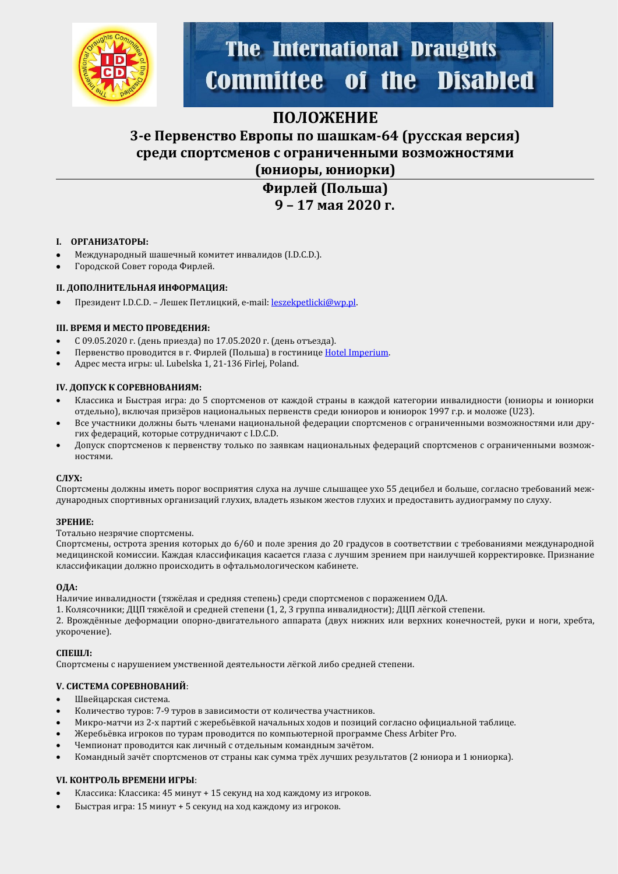

# **The International Draughts Committee of the Disabled**

### **ПОЛОЖЕНИЕ**

### **3-е Первенство Европы по шашкам-64 (русская версия) среди спортсменов с ограниченными возможностями (юниоры, юниорки)**

**Фирлей (Польша) 9 – 17 мая 2020 г.**

#### **I. ОРГАНИЗАТОРЫ:**

- Международный шашечный комитет инвалидов (I.D.C.D.).
- Городской Совет города Фирлей.

#### **II. ДОПОЛНИТЕЛЬНАЯ ИНФОРМАЦИЯ:**

Президент I.D.C.D. - Лешек Петлицкий, e-mail: [leszekpetlicki@wp.pl](mailto:leszekpetlicki@wp.pl).

#### **III. ВРЕМЯ И МЕСТО ПРОВЕДЕНИЯ:**

- С 09.05.2020 г. (день прйезда) по 17.05.2020 г. (день отъезда).
- Первенство проводится в г. Фирлей (Польша) в гостинице [Hotel](http://restauracjaimperium.pl/galeria_imperium_hotel_restauracja/#_fotografie) Imperium.
- Адрес места йгры: ul. Lubelska 1, 21-136 Firlej, Poland.

#### **IV. ДОПУСК К СОРЕВНОВАНИЯМ:**

- Классика и Быстрая игра: до 5 спортсменов от каждой страны в каждой категории инвалидности (юниоры и юниорки отдельно), включая призёров национальных первенств среди юниоров и юниорок 1997 г.р. и моложе (U23).
- Все участники должны быть членами национальной федерации спортсменов с ограниченными возможностями или других федераций, которые сотрудничают с I.D.C.D.
- Допуск спортсменов к первенству только по заявкам национальных федераций спортсменов с ограниченными возможностямй.

#### **СЛУХ:**

Спортсмены должны иметь порог восприятия слуха на лучше слышащее ухо 55 децибел и больше, согласно требований международных спортивных организаций глухих, владеть языком жестов глухих и предоставить аудиограмму по слуху.

#### **ЗРЕНИЕ:**

Тотально незрячйе спортсмены.

Спортсмены, острота зрения которых до 6/60 и поле зрения до 20 градусов в соответствии с требованиями международной медицинской комиссии. Каждая классификация касается глаза с лучшим зрением при наилучшей корректировке. Признание классификации должно происходить в офтальмологическом кабинете.

#### **ОДА:**

Наличие инвалидности (тяжёлая и средняя степень) среди спортсменов с поражением ОДА.

1. Колясочники; ДЦП тяжёлой и средней степени (1, 2, 3 группа инвалидности); ДЦП лёгкой степени.

2. Врождённые деформации опорно-двигательного аппарата (двух нижних или верхних конечностей, руки и ноги, хребта, укорочение).

#### **СПЕШЛ:**

Спортсмены с нарушением умственной деятельности лёгкой либо средней степени.

#### **V. СИСТЕМА СОРЕВНОВАНИЙ**:

- Швейцарская система.
- Количество туров: 7-9 туров в зависимости от количества участников.
- Микро-матчи из 2-х партий с жеребьёвкой начальных ходов и позиций согласно официальной таблице.
- Жеребьёвка игроков по турам проводится по компьютерной программе Chess Arbiter Pro.
- Чемпионат проводится как личный с отдельным командным зачётом.
- Командный зачёт спортсменов от страны как сумма трёх лучших результатов (2 юниора и 1 юниорка).

#### **VI. КОНТРОЛЬ ВРЕМЕНИ ИГРЫ**:

- Классика: Классика: 45 минут + 15 секунд на ход каждому из игроков.
- Быстрая игра: 15 минут + 5 секунд на ход каждому из игроков.